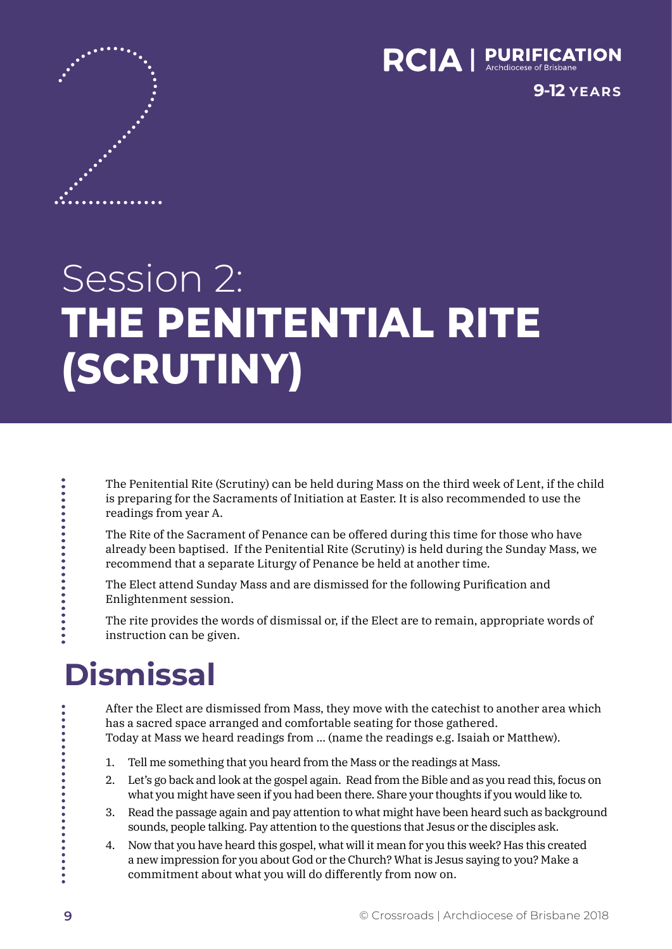

**9-12 YEARS**

# Session 2: **THE PENITENTIAL RITE (SCRUTINY)**

The Penitential Rite (Scrutiny) can be held during Mass on the third week of Lent, if the child is preparing for the Sacraments of Initiation at Easter. It is also recommended to use the readings from year A.

The Rite of the Sacrament of Penance can be offered during this time for those who have already been baptised. If the Penitential Rite (Scrutiny) is held during the Sunday Mass, we recommend that a separate Liturgy of Penance be held at another time.

The Elect attend Sunday Mass and are dismissed for the following Purification and Enlightenment session.

The rite provides the words of dismissal or, if the Elect are to remain, appropriate words of instruction can be given.

## **Dismissal**

After the Elect are dismissed from Mass, they move with the catechist to another area which has a sacred space arranged and comfortable seating for those gathered. Today at Mass we heard readings from … (name the readings e.g. Isaiah or Matthew).

- 1. Tell me something that you heard from the Mass or the readings at Mass.
- 2. Let's go back and look at the gospel again. Read from the Bible and as you read this, focus on what you might have seen if you had been there. Share your thoughts if you would like to.
- 3. Read the passage again and pay attention to what might have been heard such as background sounds, people talking. Pay attention to the questions that Jesus or the disciples ask.
- 4. Now that you have heard this gospel, what will it mean for you this week? Has this created a new impression for you about God or the Church? What is Jesus saying to you? Make a commitment about what you will do differently from now on.